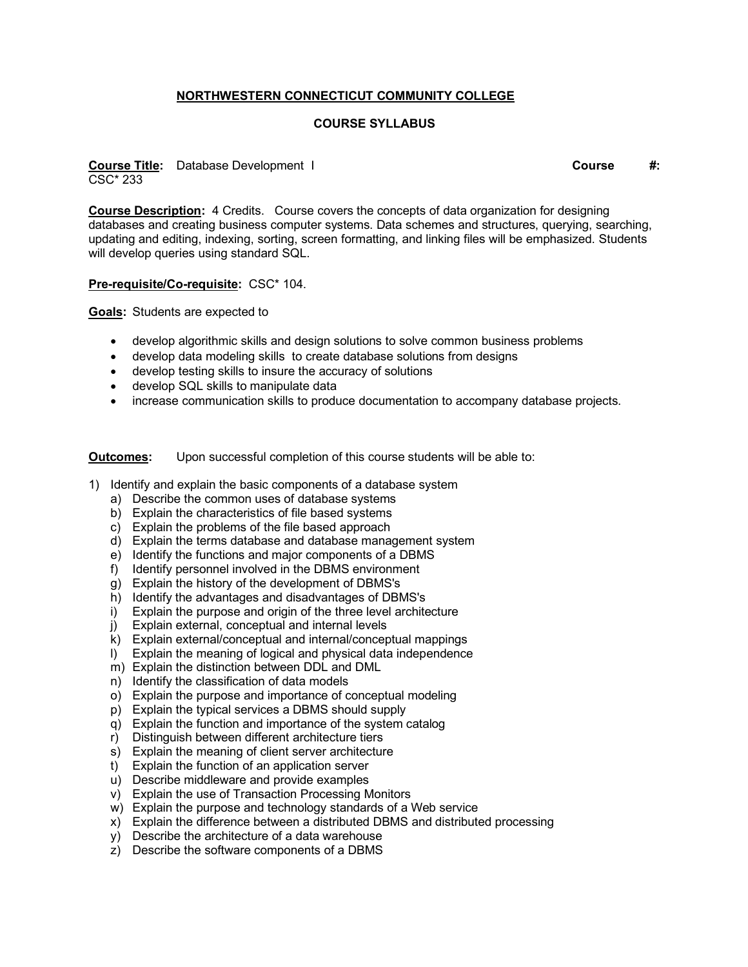## **NORTHWESTERN CONNECTICUT COMMUNITY COLLEGE**

## **COURSE SYLLABUS**

**Course Title:** Database Development I **Course #:** CSC\* 233

**Course Description:** 4 Credits. Course covers the concepts of data organization for designing databases and creating business computer systems. Data schemes and structures, querying, searching, updating and editing, indexing, sorting, screen formatting, and linking files will be emphasized. Students will develop queries using standard SQL.

## **Pre-requisite/Co-requisite:** CSC\* 104.

**Goals:** Students are expected to

- develop algorithmic skills and design solutions to solve common business problems
- develop data modeling skills to create database solutions from designs
- develop testing skills to insure the accuracy of solutions
- develop SQL skills to manipulate data
- increase communication skills to produce documentation to accompany database projects.

**Outcomes:** Upon successful completion of this course students will be able to:

- 1) Identify and explain the basic components of a database system
	- a) Describe the common uses of database systems
	- b) Explain the characteristics of file based systems
	- c) Explain the problems of the file based approach
	- d) Explain the terms database and database management system
	- e) Identify the functions and major components of a DBMS
	- f) Identify personnel involved in the DBMS environment
	- g) Explain the history of the development of DBMS's
	- h) Identify the advantages and disadvantages of DBMS's
	- i) Explain the purpose and origin of the three level architecture
	- j) Explain external, conceptual and internal levels
	- k) Explain external/conceptual and internal/conceptual mappings
	- l) Explain the meaning of logical and physical data independence
	- m) Explain the distinction between DDL and DML
	- n) Identify the classification of data models
	- o) Explain the purpose and importance of conceptual modeling
	- p) Explain the typical services a DBMS should supply
	- q) Explain the function and importance of the system catalog
	- r) Distinguish between different architecture tiers
	- s) Explain the meaning of client server architecture
	- t) Explain the function of an application server
	- u) Describe middleware and provide examples
	- v) Explain the use of Transaction Processing Monitors
	- w) Explain the purpose and technology standards of a Web service
	- x) Explain the difference between a distributed DBMS and distributed processing
	- y) Describe the architecture of a data warehouse
	- z) Describe the software components of a DBMS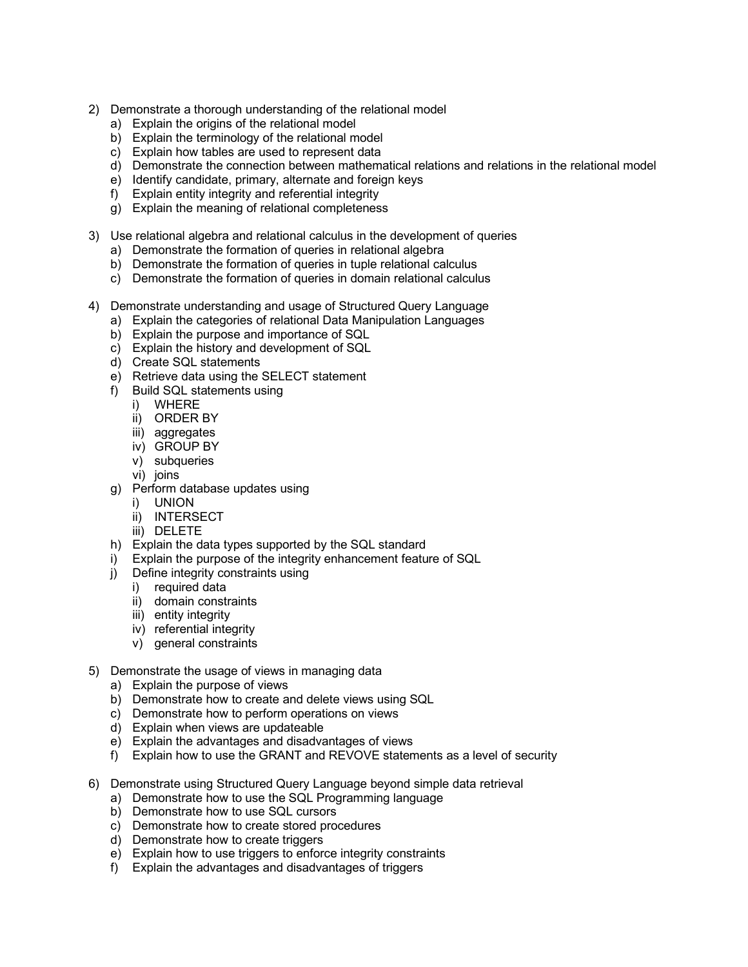- 2) Demonstrate a thorough understanding of the relational model
	- a) Explain the origins of the relational model
	- b) Explain the terminology of the relational model
	- c) Explain how tables are used to represent data
	- d) Demonstrate the connection between mathematical relations and relations in the relational model
	- e) Identify candidate, primary, alternate and foreign keys
	- f) Explain entity integrity and referential integrity
	- g) Explain the meaning of relational completeness
- 3) Use relational algebra and relational calculus in the development of queries
	- a) Demonstrate the formation of queries in relational algebra
	- b) Demonstrate the formation of queries in tuple relational calculus
	- c) Demonstrate the formation of queries in domain relational calculus
- 4) Demonstrate understanding and usage of Structured Query Language
	- a) Explain the categories of relational Data Manipulation Languages
	- b) Explain the purpose and importance of SQL
	- c) Explain the history and development of SQL
	- d) Create SQL statements
	- e) Retrieve data using the SELECT statement
	- f) Build SQL statements using
		- i) WHERE
		- ii) ORDER BY
		- iii) aggregates
		- iv) GROUP BY
		- v) subqueries
		- vi) joins
	- g) Perform database updates using
		- i) UNION
		- ii) INTERSECT
		- iii) DELETE
	- h) Explain the data types supported by the SQL standard
	- i) Explain the purpose of the integrity enhancement feature of SQL
	- j) Define integrity constraints using
		- i) required data
		- ii) domain constraints
		- iii) entity integrity
		- iv) referential integrity
		- v) general constraints
- 5) Demonstrate the usage of views in managing data
	- a) Explain the purpose of views
	- b) Demonstrate how to create and delete views using SQL
	- c) Demonstrate how to perform operations on views
	- d) Explain when views are updateable
	- e) Explain the advantages and disadvantages of views
	- f) Explain how to use the GRANT and REVOVE statements as a level of security
- 6) Demonstrate using Structured Query Language beyond simple data retrieval
	- a) Demonstrate how to use the SQL Programming language
	- b) Demonstrate how to use SQL cursors
	- c) Demonstrate how to create stored procedures
	- d) Demonstrate how to create triggers
	- e) Explain how to use triggers to enforce integrity constraints
	- f) Explain the advantages and disadvantages of triggers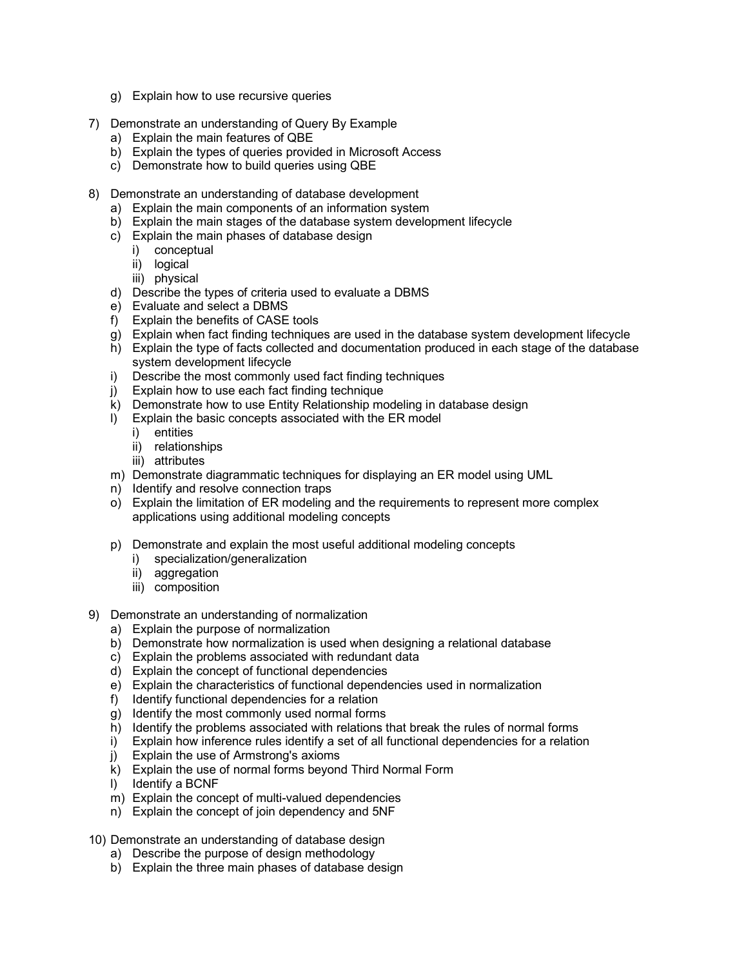- g) Explain how to use recursive queries
- 7) Demonstrate an understanding of Query By Example
	- a) Explain the main features of QBE
	- b) Explain the types of queries provided in Microsoft Access
	- c) Demonstrate how to build queries using QBE
- 8) Demonstrate an understanding of database development
	- a) Explain the main components of an information system
	- b) Explain the main stages of the database system development lifecycle
	- c) Explain the main phases of database design
		- i) conceptual
		- ii) logical
		- iii) physical
	- d) Describe the types of criteria used to evaluate a DBMS
	- e) Evaluate and select a DBMS
	- f) Explain the benefits of CASE tools
	- g) Explain when fact finding techniques are used in the database system development lifecycle
	- h) Explain the type of facts collected and documentation produced in each stage of the database system development lifecycle
	- i) Describe the most commonly used fact finding techniques
	- j) Explain how to use each fact finding technique
	- k) Demonstrate how to use Entity Relationship modeling in database design
	- l) Explain the basic concepts associated with the ER model
		- i) entities
		- ii) relationships
		- iii) attributes
	- m) Demonstrate diagrammatic techniques for displaying an ER model using UML
	- n) Identify and resolve connection traps
	- o) Explain the limitation of ER modeling and the requirements to represent more complex applications using additional modeling concepts
	- p) Demonstrate and explain the most useful additional modeling concepts
		- i) specialization/generalization
		- ii) aggregation
		- iii) composition
- 9) Demonstrate an understanding of normalization
	- a) Explain the purpose of normalization
	- b) Demonstrate how normalization is used when designing a relational database
	- c) Explain the problems associated with redundant data
	- d) Explain the concept of functional dependencies
	- e) Explain the characteristics of functional dependencies used in normalization
	- f) Identify functional dependencies for a relation
	- g) Identify the most commonly used normal forms
	- h) Identify the problems associated with relations that break the rules of normal forms
	- i) Explain how inference rules identify a set of all functional dependencies for a relation
	- j) Explain the use of Armstrong's axioms
	- k) Explain the use of normal forms beyond Third Normal Form
	- l) Identify a BCNF
	- m) Explain the concept of multi-valued dependencies
	- n) Explain the concept of join dependency and 5NF
- 10) Demonstrate an understanding of database design
	- a) Describe the purpose of design methodology
	- b) Explain the three main phases of database design